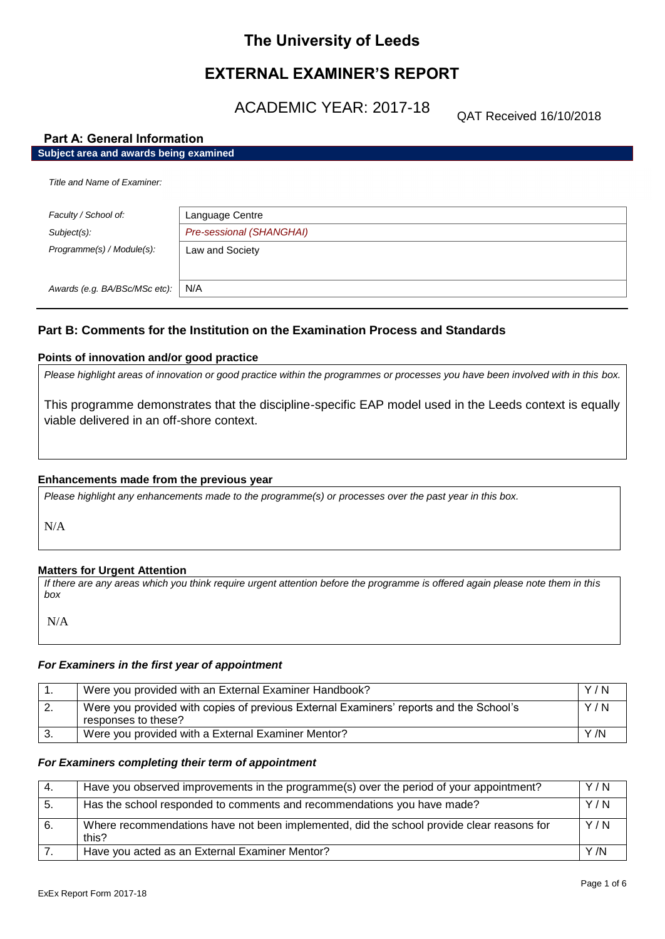# **The University of Leeds**

# **EXTERNAL EXAMINER'S REPORT**

ACADEMIC YEAR: 2017-18

QAT Received 16/10/2018

### **Part A: General Information**

| Subject area and awards being examined |                          |
|----------------------------------------|--------------------------|
| Title and Name of Examiner:            |                          |
| Faculty / School of:                   | Language Centre          |
| Subject(s):                            | Pre-sessional (SHANGHAI) |
| Programme(s) / Module(s):              | Law and Society          |
| Awards (e.g. BA/BSc/MSc etc):          | N/A                      |

### **Part B: Comments for the Institution on the Examination Process and Standards**

### **Points of innovation and/or good practice**

*Please highlight areas of innovation or good practice within the programmes or processes you have been involved with in this box.*

This programme demonstrates that the discipline-specific EAP model used in the Leeds context is equally viable delivered in an off-shore context.

### **Enhancements made from the previous year**

*Please highlight any enhancements made to the programme(s) or processes over the past year in this box.*

N/A

### **Matters for Urgent Attention**

*If there are any areas which you think require urgent attention before the programme is offered again please note them in this box*

N/A

### *For Examiners in the first year of appointment*

|    | Were you provided with an External Examiner Handbook?                                                         | Y/N |
|----|---------------------------------------------------------------------------------------------------------------|-----|
| 2. | Were you provided with copies of previous External Examiners' reports and the School's<br>responses to these? | Y/N |
|    | Were you provided with a External Examiner Mentor?                                                            | Y/N |

### *For Examiners completing their term of appointment*

| -4. | Have you observed improvements in the programme(s) over the period of your appointment?            | Y/N |
|-----|----------------------------------------------------------------------------------------------------|-----|
| 5.  | Has the school responded to comments and recommendations you have made?                            | Y/N |
| 6.  | Where recommendations have not been implemented, did the school provide clear reasons for<br>this? | Y/N |
|     | Have you acted as an External Examiner Mentor?                                                     | Y/N |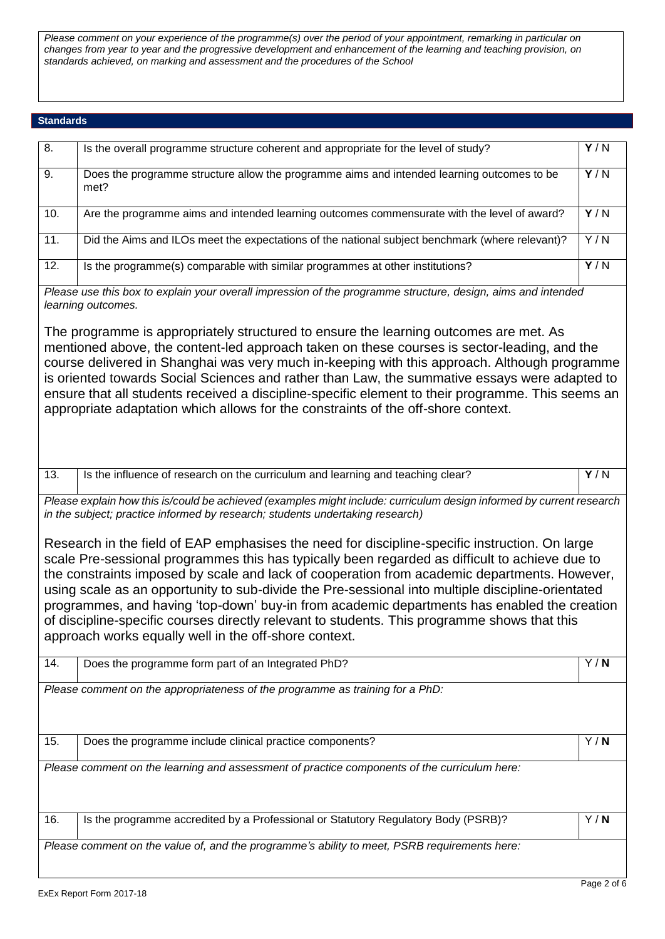*Please comment on your experience of the programme(s) over the period of your appointment, remarking in particular on changes from year to year and the progressive development and enhancement of the learning and teaching provision, on standards achieved, on marking and assessment and the procedures of the School*

### **Standards**

| 8.                                                                                                                                                                                                                                                                                                                                                                                                                                                                                                                                                                                                                                                            | Is the overall programme structure coherent and appropriate for the level of study?                                                                                                                                                                                                                                                                                                                                                                                                                                                                                             | Y/N |
|---------------------------------------------------------------------------------------------------------------------------------------------------------------------------------------------------------------------------------------------------------------------------------------------------------------------------------------------------------------------------------------------------------------------------------------------------------------------------------------------------------------------------------------------------------------------------------------------------------------------------------------------------------------|---------------------------------------------------------------------------------------------------------------------------------------------------------------------------------------------------------------------------------------------------------------------------------------------------------------------------------------------------------------------------------------------------------------------------------------------------------------------------------------------------------------------------------------------------------------------------------|-----|
| 9.                                                                                                                                                                                                                                                                                                                                                                                                                                                                                                                                                                                                                                                            | Does the programme structure allow the programme aims and intended learning outcomes to be<br>met?                                                                                                                                                                                                                                                                                                                                                                                                                                                                              | Y/N |
| 10.                                                                                                                                                                                                                                                                                                                                                                                                                                                                                                                                                                                                                                                           | Are the programme aims and intended learning outcomes commensurate with the level of award?                                                                                                                                                                                                                                                                                                                                                                                                                                                                                     | Y/N |
| 11.                                                                                                                                                                                                                                                                                                                                                                                                                                                                                                                                                                                                                                                           | Did the Aims and ILOs meet the expectations of the national subject benchmark (where relevant)?                                                                                                                                                                                                                                                                                                                                                                                                                                                                                 | Y/N |
| 12.                                                                                                                                                                                                                                                                                                                                                                                                                                                                                                                                                                                                                                                           | Is the programme(s) comparable with similar programmes at other institutions?                                                                                                                                                                                                                                                                                                                                                                                                                                                                                                   | Y/N |
|                                                                                                                                                                                                                                                                                                                                                                                                                                                                                                                                                                                                                                                               | Please use this box to explain your overall impression of the programme structure, design, aims and intended<br>learning outcomes.                                                                                                                                                                                                                                                                                                                                                                                                                                              |     |
|                                                                                                                                                                                                                                                                                                                                                                                                                                                                                                                                                                                                                                                               | The programme is appropriately structured to ensure the learning outcomes are met. As<br>mentioned above, the content-led approach taken on these courses is sector-leading, and the<br>course delivered in Shanghai was very much in-keeping with this approach. Although programme<br>is oriented towards Social Sciences and rather than Law, the summative essays were adapted to<br>ensure that all students received a discipline-specific element to their programme. This seems an<br>appropriate adaptation which allows for the constraints of the off-shore context. |     |
| 13.                                                                                                                                                                                                                                                                                                                                                                                                                                                                                                                                                                                                                                                           | Is the influence of research on the curriculum and learning and teaching clear?                                                                                                                                                                                                                                                                                                                                                                                                                                                                                                 | Y/N |
| Please explain how this is/could be achieved (examples might include: curriculum design informed by current research<br>in the subject; practice informed by research; students undertaking research)                                                                                                                                                                                                                                                                                                                                                                                                                                                         |                                                                                                                                                                                                                                                                                                                                                                                                                                                                                                                                                                                 |     |
| Research in the field of EAP emphasises the need for discipline-specific instruction. On large<br>scale Pre-sessional programmes this has typically been regarded as difficult to achieve due to<br>the constraints imposed by scale and lack of cooperation from academic departments. However,<br>using scale as an opportunity to sub-divide the Pre-sessional into multiple discipline-orientated<br>programmes, and having 'top-down' buy-in from academic departments has enabled the creation<br>of discipline-specific courses directly relevant to students. This programme shows that this<br>approach works equally well in the off-shore context. |                                                                                                                                                                                                                                                                                                                                                                                                                                                                                                                                                                                 |     |
| 14.                                                                                                                                                                                                                                                                                                                                                                                                                                                                                                                                                                                                                                                           | Does the programme form part of an Integrated PhD?                                                                                                                                                                                                                                                                                                                                                                                                                                                                                                                              | Y/N |
|                                                                                                                                                                                                                                                                                                                                                                                                                                                                                                                                                                                                                                                               | Please comment on the appropriateness of the programme as training for a PhD:                                                                                                                                                                                                                                                                                                                                                                                                                                                                                                   |     |
| 15.                                                                                                                                                                                                                                                                                                                                                                                                                                                                                                                                                                                                                                                           | Does the programme include clinical practice components?                                                                                                                                                                                                                                                                                                                                                                                                                                                                                                                        | Y/N |
| Please comment on the learning and assessment of practice components of the curriculum here:                                                                                                                                                                                                                                                                                                                                                                                                                                                                                                                                                                  |                                                                                                                                                                                                                                                                                                                                                                                                                                                                                                                                                                                 |     |
| 16.                                                                                                                                                                                                                                                                                                                                                                                                                                                                                                                                                                                                                                                           | Is the programme accredited by a Professional or Statutory Regulatory Body (PSRB)?                                                                                                                                                                                                                                                                                                                                                                                                                                                                                              | Y/N |
|                                                                                                                                                                                                                                                                                                                                                                                                                                                                                                                                                                                                                                                               | Please comment on the value of, and the programme's ability to meet, PSRB requirements here:                                                                                                                                                                                                                                                                                                                                                                                                                                                                                    |     |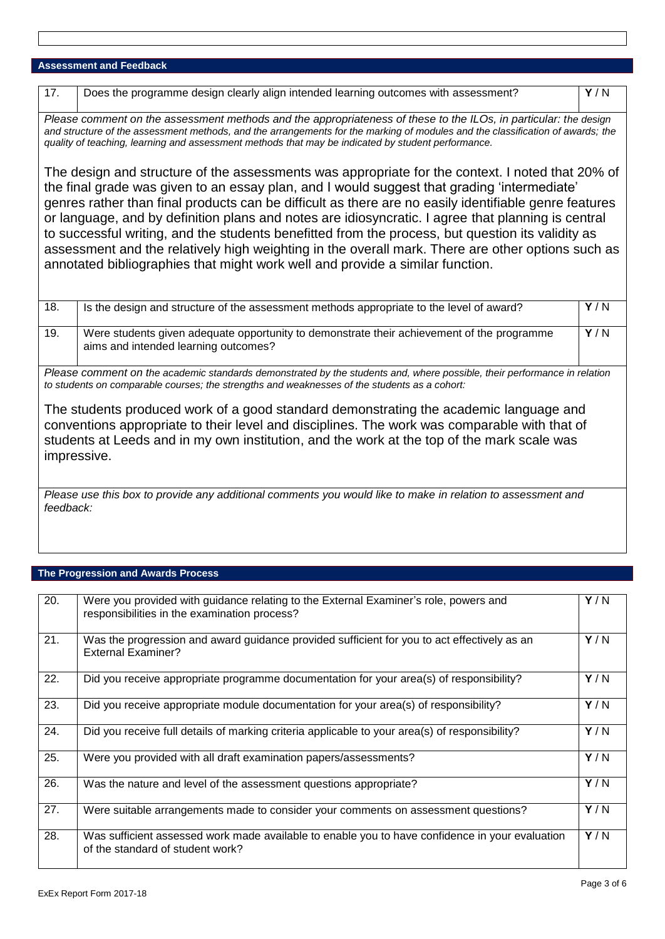## **Assessment and Feedback**

| 17.                                                                                                                                                                                                                                                                                                                                                                                                                                                                                                                                                                                                                                                                                                       | Does the programme design clearly align intended learning outcomes with assessment?                                                | Y/N |
|-----------------------------------------------------------------------------------------------------------------------------------------------------------------------------------------------------------------------------------------------------------------------------------------------------------------------------------------------------------------------------------------------------------------------------------------------------------------------------------------------------------------------------------------------------------------------------------------------------------------------------------------------------------------------------------------------------------|------------------------------------------------------------------------------------------------------------------------------------|-----|
| Please comment on the assessment methods and the appropriateness of these to the ILOs, in particular: the design<br>and structure of the assessment methods, and the arrangements for the marking of modules and the classification of awards; the<br>quality of teaching, learning and assessment methods that may be indicated by student performance.                                                                                                                                                                                                                                                                                                                                                  |                                                                                                                                    |     |
| The design and structure of the assessments was appropriate for the context. I noted that 20% of<br>the final grade was given to an essay plan, and I would suggest that grading 'intermediate'<br>genres rather than final products can be difficult as there are no easily identifiable genre features<br>or language, and by definition plans and notes are idiosyncratic. I agree that planning is central<br>to successful writing, and the students benefitted from the process, but question its validity as<br>assessment and the relatively high weighting in the overall mark. There are other options such as<br>annotated bibliographies that might work well and provide a similar function. |                                                                                                                                    |     |
| 18.                                                                                                                                                                                                                                                                                                                                                                                                                                                                                                                                                                                                                                                                                                       | Is the design and structure of the assessment methods appropriate to the level of award?                                           | Y/N |
| 19.                                                                                                                                                                                                                                                                                                                                                                                                                                                                                                                                                                                                                                                                                                       | Were students given adequate opportunity to demonstrate their achievement of the programme<br>aims and intended learning outcomes? | Y/N |
| Please comment on the academic standards demonstrated by the students and, where possible, their performance in relation<br>to students on comparable courses; the strengths and weaknesses of the students as a cohort:                                                                                                                                                                                                                                                                                                                                                                                                                                                                                  |                                                                                                                                    |     |
| The students produced work of a good standard demonstrating the academic language and<br>conventions appropriate to their level and disciplines. The work was comparable with that of<br>students at Leeds and in my own institution, and the work at the top of the mark scale was<br>impressive.                                                                                                                                                                                                                                                                                                                                                                                                        |                                                                                                                                    |     |
| Please use this box to provide any additional comments you would like to make in relation to assessment and<br>feedback:                                                                                                                                                                                                                                                                                                                                                                                                                                                                                                                                                                                  |                                                                                                                                    |     |

### **The Progression and Awards Process**

| 20. | Were you provided with guidance relating to the External Examiner's role, powers and<br>responsibilities in the examination process? | Y/N |
|-----|--------------------------------------------------------------------------------------------------------------------------------------|-----|
| 21. | Was the progression and award guidance provided sufficient for you to act effectively as an<br><b>External Examiner?</b>             | Y/N |
| 22. | Did you receive appropriate programme documentation for your area(s) of responsibility?                                              | Y/N |
| 23. | Did you receive appropriate module documentation for your area(s) of responsibility?                                                 | Y/N |
| 24. | Did you receive full details of marking criteria applicable to your area(s) of responsibility?                                       | Y/N |
| 25. | Were you provided with all draft examination papers/assessments?                                                                     | Y/N |
| 26. | Was the nature and level of the assessment questions appropriate?                                                                    | Y/N |
| 27. | Were suitable arrangements made to consider your comments on assessment questions?                                                   | Y/N |
| 28. | Was sufficient assessed work made available to enable you to have confidence in your evaluation<br>of the standard of student work?  | Y/N |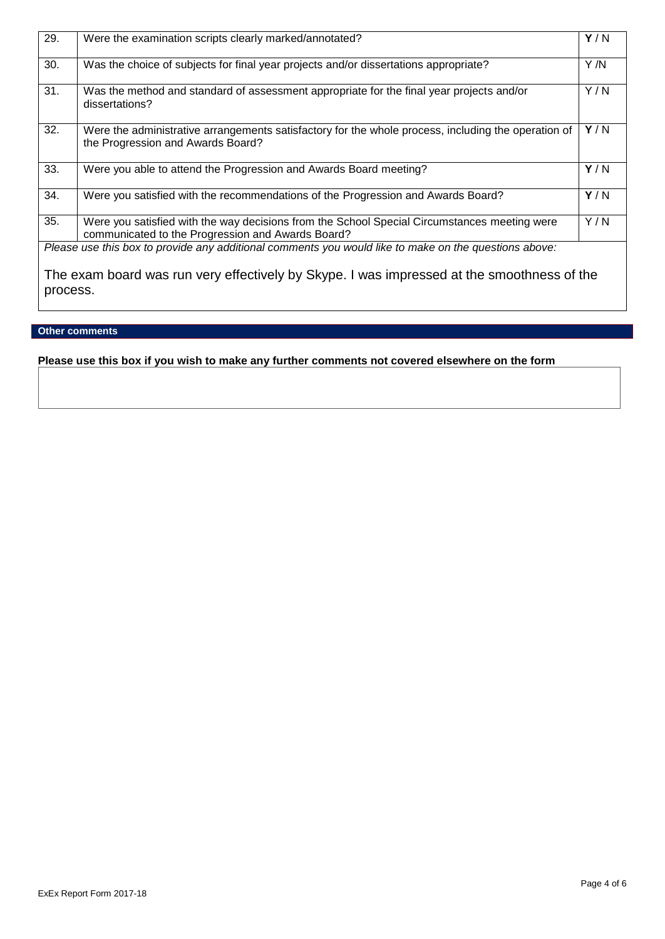| 29.                                                                                                    | Were the examination scripts clearly marked/annotated?                                                                                            | Y/N  |
|--------------------------------------------------------------------------------------------------------|---------------------------------------------------------------------------------------------------------------------------------------------------|------|
| 30.                                                                                                    | Was the choice of subjects for final year projects and/or dissertations appropriate?                                                              | Y /N |
| 31.                                                                                                    | Was the method and standard of assessment appropriate for the final year projects and/or<br>dissertations?                                        | Y/N  |
| 32.                                                                                                    | Were the administrative arrangements satisfactory for the whole process, including the operation of<br>the Progression and Awards Board?          | Y/N  |
| 33.                                                                                                    | Were you able to attend the Progression and Awards Board meeting?                                                                                 | Y/N  |
| 34.                                                                                                    | Were you satisfied with the recommendations of the Progression and Awards Board?                                                                  | Y/N  |
| 35.                                                                                                    | Were you satisfied with the way decisions from the School Special Circumstances meeting were<br>communicated to the Progression and Awards Board? | Y/N  |
| Please use this box to provide any additional comments you would like to make on the questions above:  |                                                                                                                                                   |      |
| The exam board was run very effectively by Skype. I was impressed at the smoothness of the<br>process. |                                                                                                                                                   |      |

### **Other comments**

## **Please use this box if you wish to make any further comments not covered elsewhere on the form**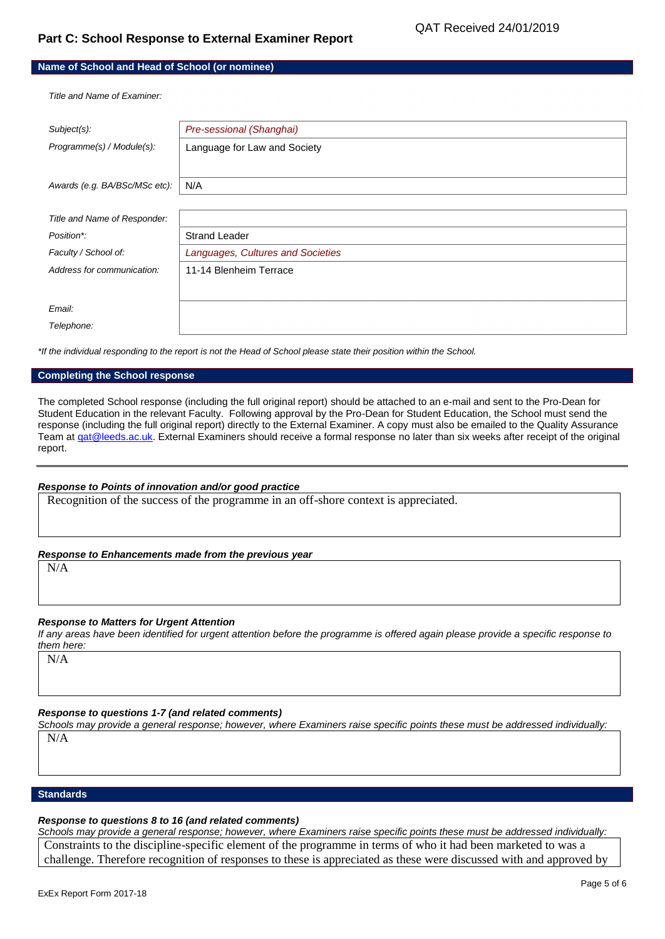### **Name of School and Head of School (or nominee)**

*Title and Name of Examiner:*

| Subject(s):                   | Pre-sessional (Shanghai)          |
|-------------------------------|-----------------------------------|
| Programme(s) / Module(s):     | Language for Law and Society      |
|                               |                                   |
| Awards (e.g. BA/BSc/MSc etc): | N/A                               |
|                               |                                   |
|                               |                                   |
| Title and Name of Responder:  |                                   |
| Position*:                    | <b>Strand Leader</b>              |
| Faculty / School of:          | Languages, Cultures and Societies |
| Address for communication:    | 11-14 Blenheim Terrace            |
|                               |                                   |
|                               |                                   |
| Email:                        |                                   |
| Telephone:                    |                                   |
|                               |                                   |

*\*If the individual responding to the report is not the Head of School please state their position within the School.*

#### **Completing the School response**

The completed School response (including the full original report) should be attached to an e-mail and sent to the Pro-Dean for Student Education in the relevant Faculty. Following approval by the Pro-Dean for Student Education, the School must send the response (including the full original report) directly to the External Examiner. A copy must also be emailed to the Quality Assurance Team a[t qat@leeds.ac.uk.](mailto:qat@leeds.ac.uk) External Examiners should receive a formal response no later than six weeks after receipt of the original report.

#### *Response to Points of innovation and/or good practice*

Recognition of the success of the programme in an off-shore context is appreciated.

### *Response to Enhancements made from the previous year*

N/A

#### *Response to Matters for Urgent Attention*

*If any areas have been identified for urgent attention before the programme is offered again please provide a specific response to them here:*

N/A

### *Response to questions 1-7 (and related comments)*

Schools may provide a general response; however, where Examiners raise specific points these must be addressed individually:

N/A

### **Standards**

#### *Response to questions 8 to 16 (and related comments)*

*Schools may provide a general response; however, where Examiners raise specific points these must be addressed individually:* Constraints to the discipline-specific element of the programme in terms of who it had been marketed to was a challenge. Therefore recognition of responses to these is appreciated as these were discussed with and approved by